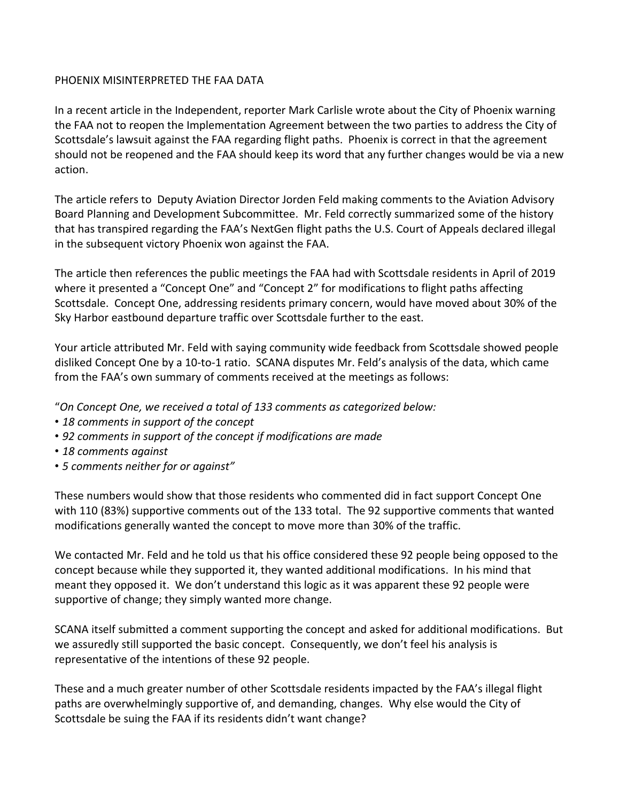## PHOENIX MISINTERPRETED THE FAA DATA

In a recent article in the Independent, reporter Mark Carlisle wrote about the City of Phoenix warning the FAA not to reopen the Implementation Agreement between the two parties to address the City of Scottsdale's lawsuit against the FAA regarding flight paths. Phoenix is correct in that the agreement should not be reopened and the FAA should keep its word that any further changes would be via a new action.

The article refers to Deputy Aviation Director Jorden Feld making comments to the Aviation Advisory Board Planning and Development Subcommittee. Mr. Feld correctly summarized some of the history that has transpired regarding the FAA's NextGen flight paths the U.S. Court of Appeals declared illegal in the subsequent victory Phoenix won against the FAA.

The article then references the public meetings the FAA had with Scottsdale residents in April of 2019 where it presented a "Concept One" and "Concept 2" for modifications to flight paths affecting Scottsdale. Concept One, addressing residents primary concern, would have moved about 30% of the Sky Harbor eastbound departure traffic over Scottsdale further to the east.

Your article attributed Mr. Feld with saying community wide feedback from Scottsdale showed people disliked Concept One by a 10-to-1 ratio. SCANA disputes Mr. Feld's analysis of the data, which came from the FAA's own summary of comments received at the meetings as follows:

"*On Concept One, we received a total of 133 comments as categorized below:* 

- *18 comments in support of the concept*
- *92 comments in support of the concept if modifications are made*
- *18 comments against*
- *5 comments neither for or against"*

These numbers would show that those residents who commented did in fact support Concept One with 110 (83%) supportive comments out of the 133 total. The 92 supportive comments that wanted modifications generally wanted the concept to move more than 30% of the traffic.

We contacted Mr. Feld and he told us that his office considered these 92 people being opposed to the concept because while they supported it, they wanted additional modifications. In his mind that meant they opposed it. We don't understand this logic as it was apparent these 92 people were supportive of change; they simply wanted more change.

SCANA itself submitted a comment supporting the concept and asked for additional modifications. But we assuredly still supported the basic concept. Consequently, we don't feel his analysis is representative of the intentions of these 92 people.

These and a much greater number of other Scottsdale residents impacted by the FAA's illegal flight paths are overwhelmingly supportive of, and demanding, changes. Why else would the City of Scottsdale be suing the FAA if its residents didn't want change?